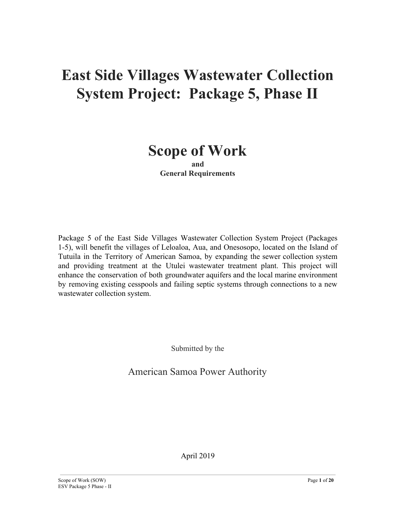# **East Side Villages Wastewater Collection System Project: Package 5, Phase II**

# **Scope of Work and General Requirements**

Package 5 of the East Side Villages Wastewater Collection System Project (Packages 1-5), will benefit the villages of Leloaloa, Aua, and Onesosopo, located on the Island of Tutuila in the Territory of American Samoa, by expanding the sewer collection system and providing treatment at the Utulei wastewater treatment plant. This project will enhance the conservation of both groundwater aquifers and the local marine environment by removing existing cesspools and failing septic systems through connections to a new wastewater collection system.

Submitted by the

American Samoa Power Authority

April 2019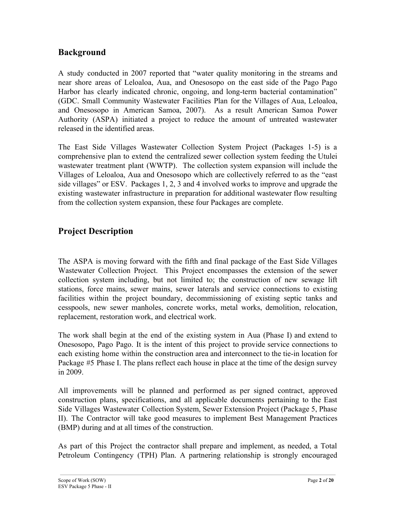# **Background**

A study conducted in 2007 reported that "water quality monitoring in the streams and near shore areas of Leloaloa, Aua, and Onesosopo on the east side of the Pago Pago Harbor has clearly indicated chronic, ongoing, and long-term bacterial contamination" (GDC. Small Community Wastewater Facilities Plan for the Villages of Aua, Leloaloa, and Onesosopo in American Samoa, 2007). As a result American Samoa Power Authority (ASPA) initiated a project to reduce the amount of untreated wastewater released in the identified areas.

The East Side Villages Wastewater Collection System Project (Packages 1-5) is a comprehensive plan to extend the centralized sewer collection system feeding the Utulei wastewater treatment plant (WWTP). The collection system expansion will include the Villages of Leloaloa, Aua and Onesosopo which are collectively referred to as the "east side villages" or ESV. Packages 1, 2, 3 and 4 involved works to improve and upgrade the existing wastewater infrastructure in preparation for additional wastewater flow resulting from the collection system expansion, these four Packages are complete.

# **Project Description**

The ASPA is moving forward with the fifth and final package of the East Side Villages Wastewater Collection Project. This Project encompasses the extension of the sewer collection system including, but not limited to; the construction of new sewage lift stations, force mains, sewer mains, sewer laterals and service connections to existing facilities within the project boundary, decommissioning of existing septic tanks and cesspools, new sewer manholes, concrete works, metal works, demolition, relocation, replacement, restoration work, and electrical work.

The work shall begin at the end of the existing system in Aua (Phase I) and extend to Onesosopo, Pago Pago. It is the intent of this project to provide service connections to each existing home within the construction area and interconnect to the tie-in location for Package #5 Phase I. The plans reflect each house in place at the time of the design survey in 2009.

All improvements will be planned and performed as per signed contract, approved construction plans, specifications, and all applicable documents pertaining to the East Side Villages Wastewater Collection System, Sewer Extension Project (Package 5, Phase II). The Contractor will take good measures to implement Best Management Practices (BMP) during and at all times of the construction.

As part of this Project the contractor shall prepare and implement, as needed, a Total Petroleum Contingency (TPH) Plan. A partnering relationship is strongly encouraged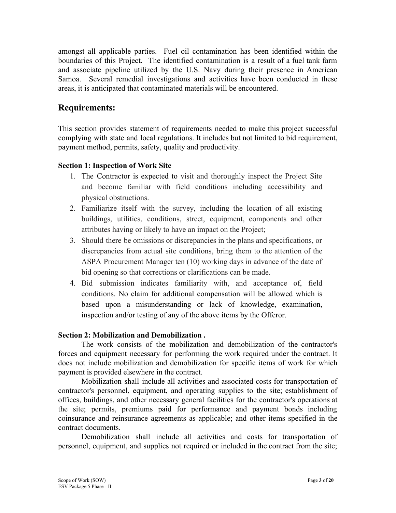amongst all applicable parties. Fuel oil contamination has been identified within the boundaries of this Project. The identified contamination is a result of a fuel tank farm and associate pipeline utilized by the U.S. Navy during their presence in American Samoa. Several remedial investigations and activities have been conducted in these areas, it is anticipated that contaminated materials will be encountered.

# **Requirements:**

This section provides statement of requirements needed to make this project successful complying with state and local regulations. It includes but not limited to bid requirement, payment method, permits, safety, quality and productivity.

#### **Section 1: Inspection of Work Site**

- 1. The Contractor is expected to visit and thoroughly inspect the Project Site and become familiar with field conditions including accessibility and physical obstructions.
- 2. Familiarize itself with the survey, including the location of all existing buildings, utilities, conditions, street, equipment, components and other attributes having or likely to have an impact on the Project;
- 3. Should there be omissions or discrepancies in the plans and specifications, or discrepancies from actual site conditions, bring them to the attention of the ASPA Procurement Manager ten (10) working days in advance of the date of bid opening so that corrections or clarifications can be made.
- 4. Bid submission indicates familiarity with, and acceptance of, field conditions. No claim for additional compensation will be allowed which is based upon a misunderstanding or lack of knowledge, examination, inspection and/or testing of any of the above items by the Offeror.

## **Section 2: Mobilization and Demobilization .**

The work consists of the mobilization and demobilization of the contractor's forces and equipment necessary for performing the work required under the contract. It does not include mobilization and demobilization for specific items of work for which payment is provided elsewhere in the contract.

Mobilization shall include all activities and associated costs for transportation of contractor's personnel, equipment, and operating supplies to the site; establishment of offices, buildings, and other necessary general facilities for the contractor's operations at the site; permits, premiums paid for performance and payment bonds including coinsurance and reinsurance agreements as applicable; and other items specified in the contract documents.

Demobilization shall include all activities and costs for transportation of personnel, equipment, and supplies not required or included in the contract from the site;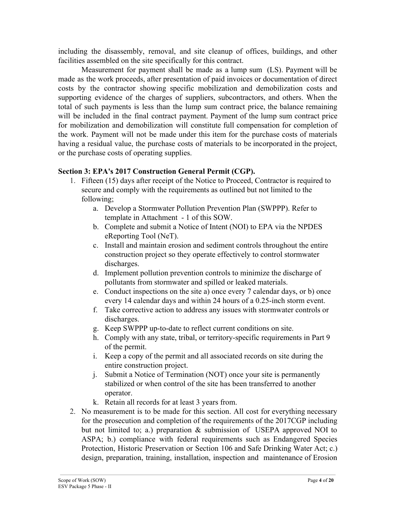including the disassembly, removal, and site cleanup of offices, buildings, and other facilities assembled on the site specifically for this contract.

Measurement for payment shall be made as a lump sum (LS). Payment will be made as the work proceeds, after presentation of paid invoices or documentation of direct costs by the contractor showing specific mobilization and demobilization costs and supporting evidence of the charges of suppliers, subcontractors, and others. When the total of such payments is less than the lump sum contract price, the balance remaining will be included in the final contract payment. Payment of the lump sum contract price for mobilization and demobilization will constitute full compensation for completion of the work. Payment will not be made under this item for the purchase costs of materials having a residual value, the purchase costs of materials to be incorporated in the project, or the purchase costs of operating supplies.

#### **Section 3: EPA's 2017 Construction General Permit (CGP).**

- 1. Fifteen (15) days after receipt of the Notice to Proceed, Contractor is required to secure and comply with the requirements as outlined but not limited to the following;
	- a. Develop a Stormwater Pollution Prevention Plan (SWPPP). Refer to template in Attachment - 1 of this SOW.
	- b. Complete and submit a Notice of Intent (NOI) to EPA via the NPDES eReporting Tool (NeT).
	- c. Install and maintain erosion and sediment controls throughout the entire construction project so they operate effectively to control stormwater discharges.
	- d. Implement pollution prevention controls to minimize the discharge of pollutants from stormwater and spilled or leaked materials.
	- e. Conduct inspections on the site a) once every 7 calendar days, or b) once every 14 calendar days and within 24 hours of a 0.25-inch storm event.
	- f. Take corrective action to address any issues with stormwater controls or discharges.
	- g. Keep SWPPP up-to-date to reflect current conditions on site.
	- h. Comply with any state, tribal, or territory-specific requirements in Part 9 of the permit.
	- i. Keep a copy of the permit and all associated records on site during the entire construction project.
	- j. Submit a Notice of Termination (NOT) once your site is permanently stabilized or when control of the site has been transferred to another operator.
	- k. Retain all records for at least 3 years from.
- 2. No measurement is to be made for this section. All cost for everything necessary for the prosecution and completion of the requirements of the 2017CGP including but not limited to; a.) preparation & submission of USEPA approved NOI to ASPA; b.) compliance with federal requirements such as Endangered Species Protection, Historic Preservation or Section 106 and Safe Drinking Water Act; c.) design, preparation, training, installation, inspection and maintenance of Erosion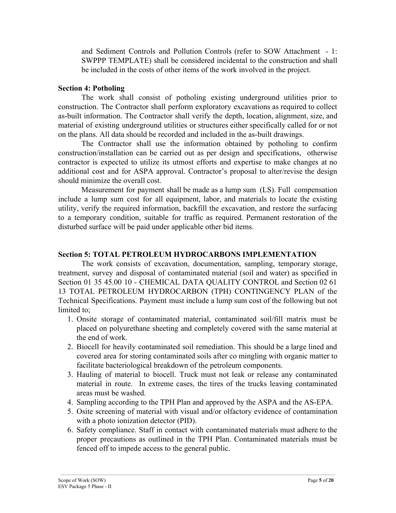and Sediment Controls and Pollution Controls (refer to SOW Attachment - 1: SWPPP TEMPLATE) shall be considered incidental to the construction and shall be included in the costs of other items of the work involved in the project.

#### **Section 4: Potholing**

The work shall consist of potholing existing underground utilities prior to construction. The Contractor shall perform exploratory excavations as required to collect as-built information. The Contractor shall verify the depth, location, alignment, size, and material of existing underground utilities or structures either specifically called for or not on the plans. All data should be recorded and included in the as-built drawings.

The Contractor shall use the information obtained by potholing to confirm construction/installation can be carried out as per design and specifications, otherwise contractor is expected to utilize its utmost efforts and expertise to make changes at no additional cost and for ASPA approval. Contractor's proposal to alter/revise the design should minimize the overall cost.

Measurement for payment shall be made as a lump sum (LS). Full compensation include a lump sum cost for all equipment, labor, and materials to locate the existing utility, verify the required information, backfill the excavation, and restore the surfacing to a temporary condition, suitable for traffic as required. Permanent restoration of the disturbed surface will be paid under applicable other bid items.

#### **Section 5: TOTAL PETROLEUM HYDROCARBONS IMPLEMENTATION**

The work consists of excavation, documentation, sampling, temporary storage, treatment, survey and disposal of contaminated material (soil and water) as specified in Section 01 35 45.00 10 - CHEMICAL DATA QUALITY CONTROL and Section 02 61 13 TOTAL PETROLEUM HYDROCARBON (TPH) CONTINGENCY PLAN of the Technical Specifications. Payment must include a lump sum cost of the following but not limited to;

- 1. Onsite storage of contaminated material, contaminated soil/fill matrix must be placed on polyurethane sheeting and completely covered with the same material at the end of work.
- 2. Biocell for heavily contaminated soil remediation. This should be a large lined and covered area for storing contaminated soils after co mingling with organic matter to facilitate bacteriological breakdown of the petroleum components.
- 3. Hauling of material to biocell. Truck must not leak or release any contaminated material in route. In extreme cases, the tires of the trucks leaving contaminated areas must be washed.
- 4. Sampling according to the TPH Plan and approved by the ASPA and the AS-EPA.
- 5. Osite screening of material with visual and/or olfactory evidence of contamination with a photo ionization detector (PID).
- 6. Safety compliance. Staff in contact with contaminated materials must adhere to the proper precautions as outlined in the TPH Plan. Contaminated materials must be fenced off to impede access to the general public.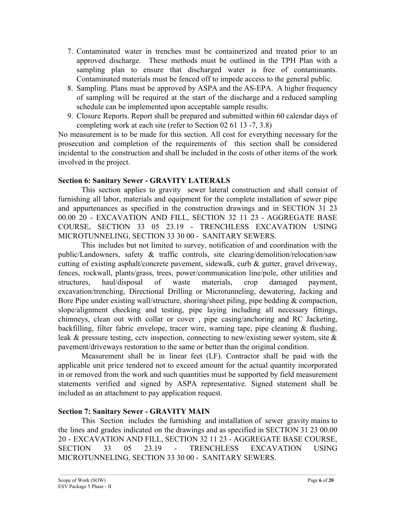- 7. Contaminated water in trenches must be containerized and treated prior to an approved discharge. These methods must be outlined in the TPH Plan with a sampling plan to ensure that discharged water is free of contaminants. Contaminated materials must be fenced off to impede access to the general public.
- 8. Sampling. Plans must be approved by ASPA and the AS-EPA. A higher frequency of sampling will be required at the start of the discharge and a reduced sampling schedule can be implemented upon acceptable sample results.
- 9. Closure Reports. Report shall be prepared and submitted within 60 calendar days of completing work at each site (refer to Section 02 61 13 -7, 3.8)

No measurement is to be made for this section. All cost for everything necessary for the prosecution and completion of the requirements of this section shall be considered incidental to the construction and shall be included in the costs of other items of the work involved in the project.

#### **Section 6: Sanitary Sewer - GRAVITY LATERALS**

This section applies to gravity sewer lateral construction and shall consist of furnishing all labor, materials and equipment for the complete installation of sewer pipe and appurtenances as specified in the construction drawings and in SECTION 31 23 00.00 20 - EXCAVATION AND FILL, SECTION 32 11 23 - AGGREGATE BASE COURSE, SECTION 33 05 23.19 - TRENCHLESS EXCAVATION USING MICROTUNNELING, SECTION 33 30 00 - SANITARY SEWERS.

This includes but not limited to survey, notification of and coordination with the public/Landowners, safety & traffic controls, site clearing/demolition/relocation/saw cutting of existing asphalt/concrete pavement, sidewalk, curb & gutter, gravel driveway, fences, rockwall, plants/grass, trees, power/communication line/pole, other utilities and structures, haul/disposal of waste materials, crop damaged payment, excavation/trenching, Directional Drilling or Microtunneling, dewatering, Jacking and Bore Pipe under existing wall/structure, shoring/sheet piling, pipe bedding & compaction, slope/alignment checking and testing, pipe laying including all necessary fittings, chimneys, clean out with collar or cover , pipe casing/anchoring and RC Jacketing, backfilling, filter fabric envelope, tracer wire, warning tape, pipe cleaning & flushing, leak & pressure testing, cctv inspection, connecting to new/existing sewer system, site & pavement/driveways restoration to the same or better than the original condition.

Measurement shall be in linear feet (LF). Contractor shall be paid with the applicable unit price tendered not to exceed amount for the actual quantity incorporated in or removed from the work and such quantities must be supported by field measurement statements verified and signed by ASPA representative. Signed statement shall be included as an attachment to pay application request.

#### **Section 7: Sanitary Sewer - GRAVITY MAIN**

This Section includes the furnishing and installation of sewer gravity mains to the lines and grades indicated on the drawings and as specified in SECTION 31 23 00.00 20 - EXCAVATION AND FILL, SECTION 32 11 23 - AGGREGATE BASE COURSE, SECTION 33 05 23.19 - TRENCHLESS EXCAVATION USING MICROTUNNELING, SECTION 33 30 00 - SANITARY SEWERS.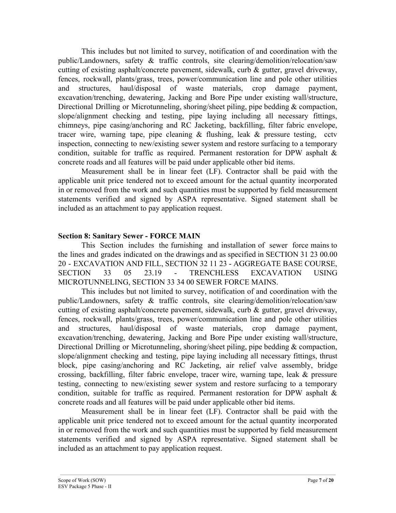This includes but not limited to survey, notification of and coordination with the public/Landowners, safety & traffic controls, site clearing/demolition/relocation/saw cutting of existing asphalt/concrete pavement, sidewalk, curb & gutter, gravel driveway, fences, rockwall, plants/grass, trees, power/communication line and pole other utilities and structures, haul/disposal of waste materials, crop damage payment, excavation/trenching, dewatering, Jacking and Bore Pipe under existing wall/structure, Directional Drilling or Microtunneling, shoring/sheet piling, pipe bedding & compaction, slope/alignment checking and testing, pipe laying including all necessary fittings, chimneys, pipe casing/anchoring and RC Jacketing, backfilling, filter fabric envelope, tracer wire, warning tape, pipe cleaning & flushing, leak & pressure testing, cctv inspection, connecting to new/existing sewer system and restore surfacing to a temporary condition, suitable for traffic as required. Permanent restoration for DPW asphalt & concrete roads and all features will be paid under applicable other bid items.

Measurement shall be in linear feet (LF). Contractor shall be paid with the applicable unit price tendered not to exceed amount for the actual quantity incorporated in or removed from the work and such quantities must be supported by field measurement statements verified and signed by ASPA representative. Signed statement shall be included as an attachment to pay application request.

#### **Section 8: Sanitary Sewer - FORCE MAIN**

This Section includes the furnishing and installation of sewer force mains to the lines and grades indicated on the drawings and as specified in SECTION 31 23 00.00 20 - EXCAVATION AND FILL, SECTION 32 11 23 - AGGREGATE BASE COURSE, SECTION 33 05 23.19 - TRENCHLESS EXCAVATION USING MICROTUNNELING, SECTION 33 34 00 SEWER FORCE MAINS.

This includes but not limited to survey, notification of and coordination with the public/Landowners, safety & traffic controls, site clearing/demolition/relocation/saw cutting of existing asphalt/concrete pavement, sidewalk, curb & gutter, gravel driveway, fences, rockwall, plants/grass, trees, power/communication line and pole other utilities and structures, haul/disposal of waste materials, crop damage payment, excavation/trenching, dewatering, Jacking and Bore Pipe under existing wall/structure, Directional Drilling or Microtunneling, shoring/sheet piling, pipe bedding & compaction, slope/alignment checking and testing, pipe laying including all necessary fittings, thrust block, pipe casing/anchoring and RC Jacketing, air relief valve assembly, bridge crossing, backfilling, filter fabric envelope, tracer wire, warning tape, leak & pressure testing, connecting to new/existing sewer system and restore surfacing to a temporary condition, suitable for traffic as required. Permanent restoration for DPW asphalt & concrete roads and all features will be paid under applicable other bid items.

Measurement shall be in linear feet (LF). Contractor shall be paid with the applicable unit price tendered not to exceed amount for the actual quantity incorporated in or removed from the work and such quantities must be supported by field measurement statements verified and signed by ASPA representative. Signed statement shall be included as an attachment to pay application request.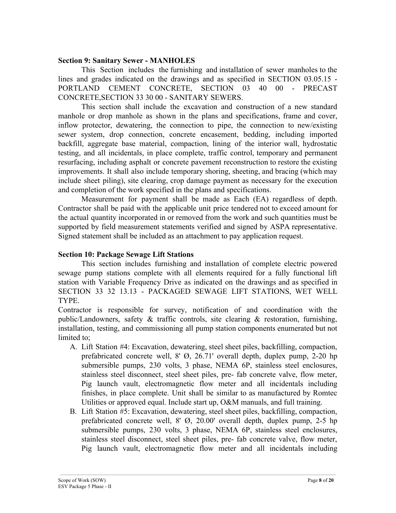#### **Section 9: Sanitary Sewer - MANHOLES**

This Section includes the furnishing and installation of sewer manholes to the lines and grades indicated on the drawings and as specified in SECTION 03.05.15 - PORTLAND CEMENT CONCRETE, SECTION 03 40 00 - PRECAST CONCRETE,SECTION 33 30 00 - SANITARY SEWERS.

This section shall include the excavation and construction of a new standard manhole or drop manhole as shown in the plans and specifications, frame and cover, inflow protector, dewatering, the connection to pipe, the connection to new/existing sewer system, drop connection, concrete encasement, bedding, including imported backfill, aggregate base material, compaction, lining of the interior wall, hydrostatic testing, and all incidentals, in place complete, traffic control, temporary and permanent resurfacing, including asphalt or concrete pavement reconstruction to restore the existing improvements. It shall also include temporary shoring, sheeting, and bracing (which may include sheet piling), site clearing, crop damage payment as necessary for the execution and completion of the work specified in the plans and specifications.

Measurement for payment shall be made as Each (EA) regardless of depth. Contractor shall be paid with the applicable unit price tendered not to exceed amount for the actual quantity incorporated in or removed from the work and such quantities must be supported by field measurement statements verified and signed by ASPA representative. Signed statement shall be included as an attachment to pay application request.

#### **Section 10: Package Sewage Lift Stations**

This section includes furnishing and installation of complete electric powered sewage pump stations complete with all elements required for a fully functional lift station with Variable Frequency Drive as indicated on the drawings and as specified in SECTION 33 32 13.13 - PACKAGED SEWAGE LIFT STATIONS, WET WELL TYPE.

Contractor is responsible for survey, notification of and coordination with the public/Landowners, safety & traffic controls, site clearing & restoration, furnishing, installation, testing, and commissioning all pump station components enumerated but not limited to;

- A. Lift Station #4: Excavation, dewatering, steel sheet piles, backfilling, compaction, prefabricated concrete well, 8' Ø, 26.71' overall depth, duplex pump, 2-20 hp submersible pumps, 230 volts, 3 phase, NEMA 6P, stainless steel enclosures, stainless steel disconnect, steel sheet piles, pre- fab concrete valve, flow meter, Pig launch vault, electromagnetic flow meter and all incidentals including finishes, in place complete. Unit shall be similar to as manufactured by Romtec Utilities or approved equal. Include start up, O&M manuals, and full training.
- B. Lift Station #5: Excavation, dewatering, steel sheet piles, backfilling, compaction, prefabricated concrete well, 8' Ø, 20.00' overall depth, duplex pump, 2-5 hp submersible pumps, 230 volts, 3 phase, NEMA 6P, stainless steel enclosures, stainless steel disconnect, steel sheet piles, pre- fab concrete valve, flow meter, Pig launch vault, electromagnetic flow meter and all incidentals including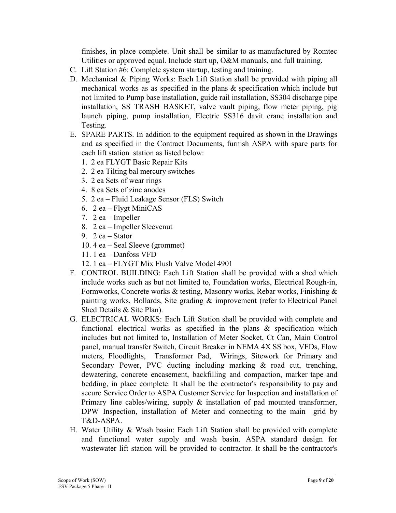finishes, in place complete. Unit shall be similar to as manufactured by Romtec Utilities or approved equal. Include start up, O&M manuals, and full training.

- C. Lift Station #6: Complete system startup, testing and training.
- D. Mechanical & Piping Works: Each Lift Station shall be provided with piping all mechanical works as as specified in the plans & specification which include but not limited to Pump base installation, guide rail installation, SS304 discharge pipe installation, SS TRASH BASKET, valve vault piping, flow meter piping, pig launch piping, pump installation, Electric SS316 davit crane installation and Testing.
- E. SPARE PARTS. In addition to the equipment required as shown in the Drawings and as specified in the Contract Documents, furnish ASPA with spare parts for each lift station station as listed below:
	- 1. 2 ea FLYGT Basic Repair Kits
	- 2. 2 ea Tilting bal mercury switches
	- 3. 2 ea Sets of wear rings
	- 4. 8 ea Sets of zinc anodes
	- 5. 2 ea Fluid Leakage Sensor (FLS) Switch
	- 6. 2 ea Flygt MiniCAS
	- 7. 2 ea Impeller
	- 8. 2 ea Impeller Sleevenut
	- 9. 2 ea Stator
	- 10. 4 ea Seal Sleeve (grommet)
	- 11. 1 ea Danfoss VFD
	- 12. 1 ea FLYGT Mix Flush Valve Model 4901
- F. CONTROL BUILDING: Each Lift Station shall be provided with a shed which include works such as but not limited to, Foundation works, Electrical Rough-in, Formworks, Concrete works & testing, Masonry works, Rebar works, Finishing & painting works, Bollards, Site grading & improvement (refer to Electrical Panel Shed Details & Site Plan).
- G. ELECTRICAL WORKS: Each Lift Station shall be provided with complete and functional electrical works as specified in the plans & specification which includes but not limited to, Installation of Meter Socket, Ct Can, Main Control panel, manual transfer Switch, Circuit Breaker in NEMA 4X SS box, VFDs, Flow meters, Floodlights, Transformer Pad, Wirings, Sitework for Primary and Secondary Power, PVC ducting including marking & road cut, trenching, dewatering, concrete encasement, backfilling and compaction, marker tape and bedding, in place complete. It shall be the contractor's responsibility to pay and secure Service Order to ASPA Customer Service for Inspection and installation of Primary line cables/wiring, supply & installation of pad mounted transformer, DPW Inspection, installation of Meter and connecting to the main grid by T&D-ASPA.
- H. Water Utility & Wash basin: Each Lift Station shall be provided with complete and functional water supply and wash basin. ASPA standard design for wastewater lift station will be provided to contractor. It shall be the contractor's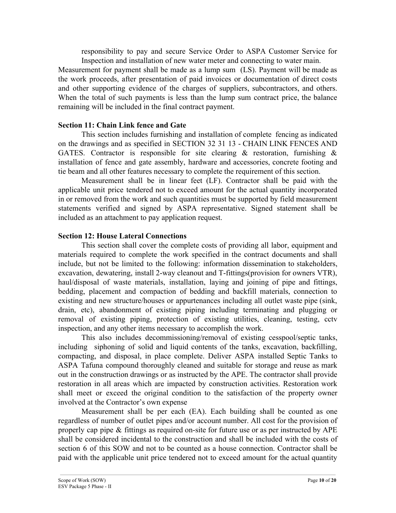responsibility to pay and secure Service Order to ASPA Customer Service for Inspection and installation of new water meter and connecting to water main.

Measurement for payment shall be made as a lump sum (LS). Payment will be made as the work proceeds, after presentation of paid invoices or documentation of direct costs and other supporting evidence of the charges of suppliers, subcontractors, and others. When the total of such payments is less than the lump sum contract price, the balance remaining will be included in the final contract payment.

#### **Section 11: Chain Link fence and Gate**

This section includes furnishing and installation of complete fencing as indicated on the drawings and as specified in SECTION 32 31 13 - CHAIN LINK FENCES AND GATES. Contractor is responsible for site clearing  $\&$  restoration, furnishing  $\&$ installation of fence and gate assembly, hardware and accessories, concrete footing and tie beam and all other features necessary to complete the requirement of this section.

Measurement shall be in linear feet (LF). Contractor shall be paid with the applicable unit price tendered not to exceed amount for the actual quantity incorporated in or removed from the work and such quantities must be supported by field measurement statements verified and signed by ASPA representative. Signed statement shall be included as an attachment to pay application request.

#### **Section 12: House Lateral Connections**

This section shall cover the complete costs of providing all labor, equipment and materials required to complete the work specified in the contract documents and shall include, but not be limited to the following: information dissemination to stakeholders, excavation, dewatering, install 2-way cleanout and T-fittings(provision for owners VTR), haul/disposal of waste materials, installation, laying and joining of pipe and fittings, bedding, placement and compaction of bedding and backfill materials, connection to existing and new structure/houses or appurtenances including all outlet waste pipe (sink, drain, etc), abandonment of existing piping including terminating and plugging or removal of existing piping, protection of existing utilities, cleaning, testing, cctv inspection, and any other items necessary to accomplish the work.

This also includes decommissioning/removal of existing cesspool/septic tanks, including siphoning of solid and liquid contents of the tanks, excavation, backfilling, compacting, and disposal, in place complete. Deliver ASPA installed Septic Tanks to ASPA Tafuna compound thoroughly cleaned and suitable for storage and reuse as mark out in the construction drawings or as instructed by the APE. The contractor shall provide restoration in all areas which are impacted by construction activities. Restoration work shall meet or exceed the original condition to the satisfaction of the property owner involved at the Contractor's own expense

Measurement shall be per each (EA). Each building shall be counted as one regardless of number of outlet pipes and/or account number. All cost for the provision of properly cap pipe & fittings as required on-site for future use or as per instructed by APE shall be considered incidental to the construction and shall be included with the costs of section 6 of this SOW and not to be counted as a house connection. Contractor shall be paid with the applicable unit price tendered not to exceed amount for the actual quantity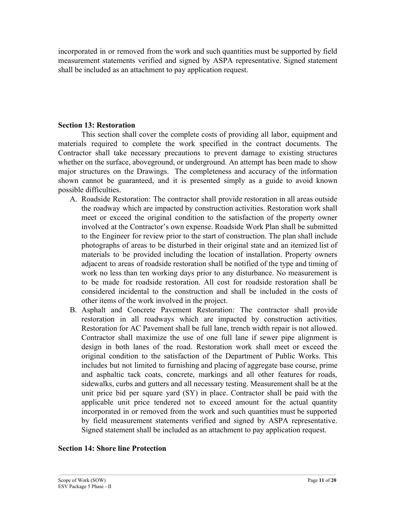incorporated in or removed from the work and such quantities must be supported by field measurement statements verified and signed by ASPA representative. Signed statement shall be included as an attachment to pay application request.

#### **Section 13: Restoration**

This section shall cover the complete costs of providing all labor, equipment and materials required to complete the work specified in the contract documents. The Contractor shall take necessary precautions to prevent damage to existing structures whether on the surface, aboveground, or underground. An attempt has been made to show major structures on the Drawings. The completeness and accuracy of the information shown cannot be guaranteed, and it is presented simply as a guide to avoid known possible difficulties.

- A. Roadside Restoration: The contractor shall provide restoration in all areas outside the roadway which are impacted by construction activities. Restoration work shall meet or exceed the original condition to the satisfaction of the property owner involved at the Contractor's own expense. Roadside Work Plan shall be submitted to the Engineer for review prior to the start of construction. The plan shall include photographs of areas to be disturbed in their original state and an itemized list of materials to be provided including the location of installation. Property owners adjacent to areas of roadside restoration shall be notified of the type and timing of work no less than ten working days prior to any disturbance. No measurement is to be made for roadside restoration. All cost for roadside restoration shall be considered incidental to the construction and shall be included in the costs of other items of the work involved in the project.
- B. Asphalt and Concrete Pavement Restoration: The contractor shall provide restoration in all roadways which are impacted by construction activities. Restoration for AC Pavement shall be full lane, trench width repair is not allowed. Contractor shall maximize the use of one full lane if sewer pipe alignment is design in both lanes of the road. Restoration work shall meet or exceed the original condition to the satisfaction of the Department of Public Works. This includes but not limited to furnishing and placing of aggregate base course, prime and asphaltic tack coats, concrete, markings and all other features for roads, sidewalks, curbs and gutters and all necessary testing. Measurement shall be at the unit price bid per square yard (SY) in place. Contractor shall be paid with the applicable unit price tendered not to exceed amount for the actual quantity incorporated in or removed from the work and such quantities must be supported by field measurement statements verified and signed by ASPA representative. Signed statement shall be included as an attachment to pay application request.

#### **Section 14: Shore line Protection**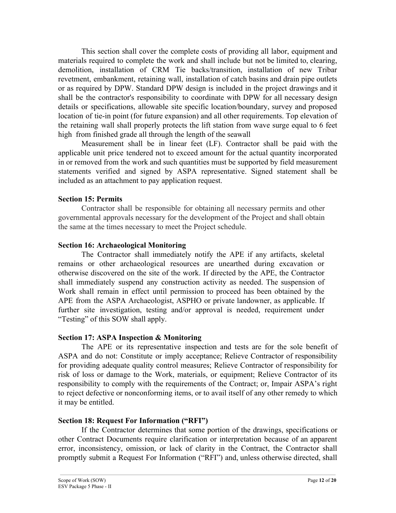This section shall cover the complete costs of providing all labor, equipment and materials required to complete the work and shall include but not be limited to, clearing, demolition, installation of CRM Tie backs/transition, installation of new Tribar revetment, embankment, retaining wall, installation of catch basins and drain pipe outlets or as required by DPW. Standard DPW design is included in the project drawings and it shall be the contractor's responsibility to coordinate with DPW for all necessary design details or specifications, allowable site specific location/boundary, survey and proposed location of tie-in point (for future expansion) and all other requirements. Top elevation of the retaining wall shall properly protects the lift station from wave surge equal to 6 feet high from finished grade all through the length of the seawall

Measurement shall be in linear feet (LF). Contractor shall be paid with the applicable unit price tendered not to exceed amount for the actual quantity incorporated in or removed from the work and such quantities must be supported by field measurement statements verified and signed by ASPA representative. Signed statement shall be included as an attachment to pay application request.

#### **Section 15: Permits**

Contractor shall be responsible for obtaining all necessary permits and other governmental approvals necessary for the development of the Project and shall obtain the same at the times necessary to meet the Project schedule.

#### **Section 16: Archaeological Monitoring**

The Contractor shall immediately notify the APE if any artifacts, skeletal remains or other archaeological resources are unearthed during excavation or otherwise discovered on the site of the work. If directed by the APE, the Contractor shall immediately suspend any construction activity as needed. The suspension of Work shall remain in effect until permission to proceed has been obtained by the APE from the ASPA Archaeologist, ASPHO or private landowner, as applicable. If further site investigation, testing and/or approval is needed, requirement under "Testing" of this SOW shall apply.

#### **Section 17: ASPA Inspection & Monitoring**

The APE or its representative inspection and tests are for the sole benefit of ASPA and do not: Constitute or imply acceptance; Relieve Contractor of responsibility for providing adequate quality control measures; Relieve Contractor of responsibility for risk of loss or damage to the Work, materials, or equipment; Relieve Contractor of its responsibility to comply with the requirements of the Contract; or, Impair ASPA's right to reject defective or nonconforming items, or to avail itself of any other remedy to which it may be entitled.

#### **Section 18: Request For Information ("RFI")**

If the Contractor determines that some portion of the drawings, specifications or other Contract Documents require clarification or interpretation because of an apparent error, inconsistency, omission, or lack of clarity in the Contract, the Contractor shall promptly submit a Request For Information ("RFI") and, unless otherwise directed, shall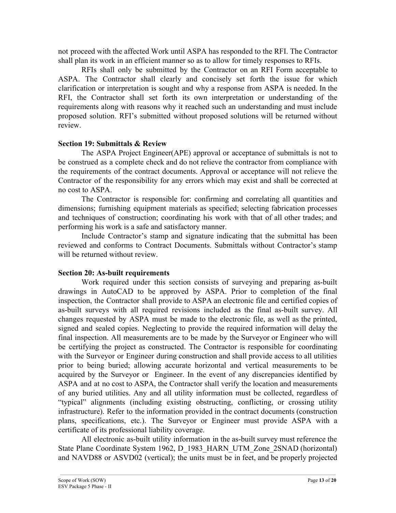not proceed with the affected Work until ASPA has responded to the RFI. The Contractor shall plan its work in an efficient manner so as to allow for timely responses to RFIs.

RFIs shall only be submitted by the Contractor on an RFI Form acceptable to ASPA. The Contractor shall clearly and concisely set forth the issue for which clarification or interpretation is sought and why a response from ASPA is needed. In the RFI, the Contractor shall set forth its own interpretation or understanding of the requirements along with reasons why it reached such an understanding and must include proposed solution. RFI's submitted without proposed solutions will be returned without review.

#### **Section 19: Submittals & Review**

The ASPA Project Engineer(APE) approval or acceptance of submittals is not to be construed as a complete check and do not relieve the contractor from compliance with the requirements of the contract documents. Approval or acceptance will not relieve the Contractor of the responsibility for any errors which may exist and shall be corrected at no cost to ASPA.

The Contractor is responsible for: confirming and correlating all quantities and dimensions; furnishing equipment materials as specified; selecting fabrication processes and techniques of construction; coordinating his work with that of all other trades; and performing his work is a safe and satisfactory manner.

Include Contractor's stamp and signature indicating that the submittal has been reviewed and conforms to Contract Documents. Submittals without Contractor's stamp will be returned without review.

#### **Section 20: As-built requirements**

Work required under this section consists of surveying and preparing as-built drawings in AutoCAD to be approved by ASPA. Prior to completion of the final inspection, the Contractor shall provide to ASPA an electronic file and certified copies of as-built surveys with all required revisions included as the final as-built survey. All changes requested by ASPA must be made to the electronic file, as well as the printed, signed and sealed copies. Neglecting to provide the required information will delay the final inspection. All measurements are to be made by the Surveyor or Engineer who will be certifying the project as constructed. The Contractor is responsible for coordinating with the Surveyor or Engineer during construction and shall provide access to all utilities prior to being buried; allowing accurate horizontal and vertical measurements to be acquired by the Surveyor or Engineer. In the event of any discrepancies identified by ASPA and at no cost to ASPA, the Contractor shall verify the location and measurements of any buried utilities. Any and all utility information must be collected, regardless of "typical" alignments (including existing obstructing, conflicting, or crossing utility infrastructure). Refer to the information provided in the contract documents (construction plans, specifications, etc.). The Surveyor or Engineer must provide ASPA with a certificate of its professional liability coverage.

All electronic as-built utility information in the as-built survey must reference the State Plane Coordinate System 1962, D\_1983\_HARN\_UTM\_Zone\_2SNAD (horizontal) and NAVD88 or ASVD02 (vertical); the units must be in feet, and be properly projected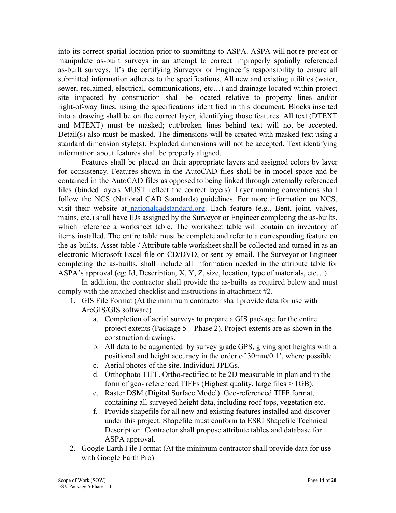into its correct spatial location prior to submitting to ASPA. ASPA will not re-project or manipulate as-built surveys in an attempt to correct improperly spatially referenced as-built surveys. It's the certifying Surveyor or Engineer's responsibility to ensure all submitted information adheres to the specifications. All new and existing utilities (water, sewer, reclaimed, electrical, communications, etc…) and drainage located within project site impacted by construction shall be located relative to property lines and/or right-of-way lines, using the specifications identified in this document. Blocks inserted into a drawing shall be on the correct layer, identifying those features. All text (DTEXT and MTEXT) must be masked; cut/broken lines behind text will not be accepted. Detail(s) also must be masked. The dimensions will be created with masked text using a standard dimension style(s). Exploded dimensions will not be accepted. Text identifying information about features shall be properly aligned.

Features shall be placed on their appropriate layers and assigned colors by layer for consistency. Features shown in the AutoCAD files shall be in model space and be contained in the AutoCAD files as opposed to being linked through externally referenced files (binded layers MUST reflect the correct layers). Layer naming conventions shall follow the NCS (National CAD Standards) guidelines. For more information on NCS, visit their website at [nationalcadstandard.org.](http://www.nationalcadstandard.org/) Each feature (e.g., Bent, joint, valves, mains, etc.) shall have IDs assigned by the Surveyor or Engineer completing the as-builts, which reference a worksheet table. The worksheet table will contain an inventory of items installed. The entire table must be complete and refer to a corresponding feature on the as-builts. Asset table / Attribute table worksheet shall be collected and turned in as an electronic Microsoft Excel file on CD/DVD, or sent by email. The Surveyor or Engineer completing the as-builts, shall include all information needed in the attribute table for ASPA's approval (eg: Id, Description, X, Y, Z, size, location, type of materials, etc…)

In addition, the contractor shall provide the as-builts as required below and must comply with the attached checklist and instructions in attachment #2.

- 1. GIS File Format (At the minimum contractor shall provide data for use with ArcGIS/GIS software)
	- a. Completion of aerial surveys to prepare a GIS package for the entire project extents (Package 5 – Phase 2). Project extents are as shown in the construction drawings.
	- b. All data to be augmented by survey grade GPS, giving spot heights with a positional and height accuracy in the order of 30mm/0.1', where possible.
	- c. Aerial photos of the site. Individual JPEGs.
	- d. Orthophoto TIFF. Ortho-rectified to be 2D measurable in plan and in the form of geo- referenced TIFFs (Highest quality, large files > 1GB).
	- e. Raster DSM (Digital Surface Model). Geo-referenced TIFF format, containing all surveyed height data, including roof tops, vegetation etc.
	- f. Provide shapefile for all new and existing features installed and discover under this project. Shapefile must conform to ESRI Shapefile Technical Description. Contractor shall propose attribute tables and database for ASPA approval.
- 2. Google Earth File Format (At the minimum contractor shall provide data for use with Google Earth Pro)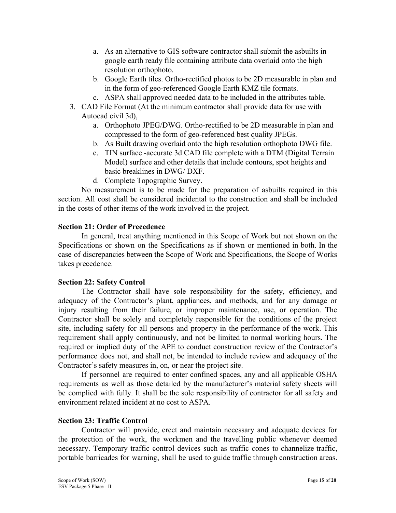- a. As an alternative to GIS software contractor shall submit the asbuilts in google earth ready file containing attribute data overlaid onto the high resolution orthophoto.
- b. Google Earth tiles. Ortho-rectified photos to be 2D measurable in plan and in the form of geo-referenced Google Earth KMZ tile formats.
- c. ASPA shall approved needed data to be included in the attributes table.
- 3. CAD File Format (At the minimum contractor shall provide data for use with Autocad civil 3d),
	- a. Orthophoto JPEG/DWG. Ortho-rectified to be 2D measurable in plan and compressed to the form of geo-referenced best quality JPEGs.
	- b. As Built drawing overlaid onto the high resolution orthophoto DWG file.
	- c. TIN surface -accurate 3d CAD file complete with a DTM (Digital Terrain Model) surface and other details that include contours, spot heights and basic breaklines in DWG/ DXF.
	- d. Complete Topographic Survey.

No measurement is to be made for the preparation of asbuilts required in this section. All cost shall be considered incidental to the construction and shall be included in the costs of other items of the work involved in the project.

#### **Section 21: Order of Precedence**

In general, treat anything mentioned in this Scope of Work but not shown on the Specifications or shown on the Specifications as if shown or mentioned in both. In the case of discrepancies between the Scope of Work and Specifications, the Scope of Works takes precedence.

#### **Section 22: Safety Control**

The Contractor shall have sole responsibility for the safety, efficiency, and adequacy of the Contractor's plant, appliances, and methods, and for any damage or injury resulting from their failure, or improper maintenance, use, or operation. The Contractor shall be solely and completely responsible for the conditions of the project site, including safety for all persons and property in the performance of the work. This requirement shall apply continuously, and not be limited to normal working hours. The required or implied duty of the APE to conduct construction review of the Contractor's performance does not, and shall not, be intended to include review and adequacy of the Contractor's safety measures in, on, or near the project site.

If personnel are required to enter confined spaces, any and all applicable OSHA requirements as well as those detailed by the manufacturer's material safety sheets will be complied with fully. It shall be the sole responsibility of contractor for all safety and environment related incident at no cost to ASPA.

## **Section 23: Traffic Control**

Contractor will provide, erect and maintain necessary and adequate devices for the protection of the work, the workmen and the travelling public whenever deemed necessary. Temporary traffic control devices such as traffic cones to channelize traffic, portable barricades for warning, shall be used to guide traffic through construction areas.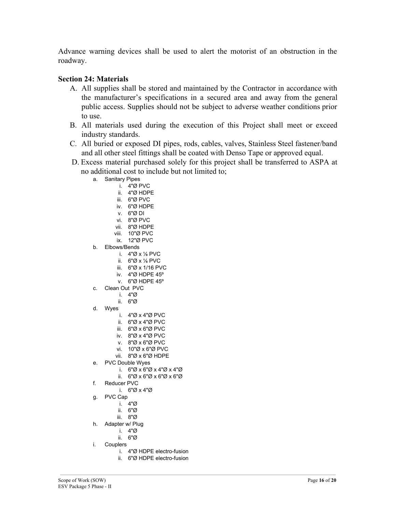Advance warning devices shall be used to alert the motorist of an obstruction in the roadway.

#### **Section 24: Materials**

- A. All supplies shall be stored and maintained by the Contractor in accordance with the manufacturer's specifications in a secured area and away from the general public access. Supplies should not be subject to adverse weather conditions prior to use.
- B. All materials used during the execution of this Project shall meet or exceed industry standards.
- C. All buried or exposed DI pipes, rods, cables, valves, Stainless Steel fastener/band and all other steel fittings shall be coated with Denso Tape or approved equal.
- D. Excess material purchased solely for this project shall be transferred to ASPA at no additional cost to include but not limited to;
	- a. Sanitary Pipes i. 4"Ø PVC ii. 4"Ø HDPE iii. 6"Ø PVC iv. 6"Ø HDPE v. 6"Ø DI vi. 8"Ø PVC vii. 8"Ø HDPE viii. 10"Ø PVC ix. 12"Ø PVC b. Elbows/Bends i. 4"Ø x ⅛ PVC ii. 6"Ø x ⅛ PVC iii. 6"Ø x 1/16 PVC iv. 4"Ø HDPE 45º v. 6"Ø HDPE 45º c. Clean Out PVC i. 4"Ø ii. 6"Ø d. Wyes i. 4"Ø x 4"Ø PVC ii. 6"Ø x 4"Ø PVC iii. 6"Ø x 6"Ø PVC iv. 8"Ø x 4"Ø PVC v. 8"Ø x 6"Ø PVC vi. 10"Ø x 6"Ø PVC vii. 8"Ø x 6"Ø HDPE e. PVC Double Wyes i. 6"Ø x 6"Ø x 4"Ø x 4"Ø ii. 6"Ø x 6"Ø x 6"Ø x 6"Ø f. Reducer PVC i. 6"Ø x 4"Ø g. PVC Cap i. 4"Ø ii. 6"Ø iii. 8"Ø h. Adapter w/ Plug i. 4"Ø ii. 6"Ø i. Couplers i. 4"Ø HDPE electro-fusion
		- ii. 6"Ø HDPE electro-fusion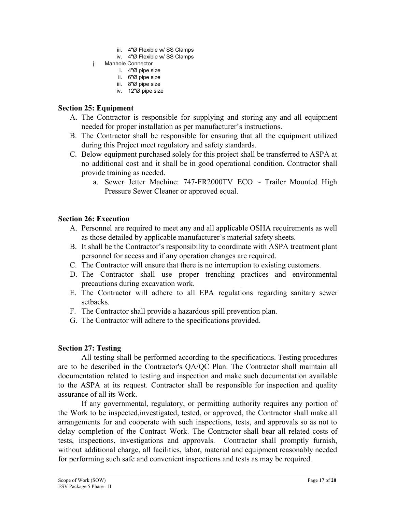- iii. 4"Ø Flexible w/ SS Clamps
- iv. 4"Ø Flexible w/ SS Clamps
- j. Manhole Connector
	- i. 4"Ø pipe size
	- ii. 6"Ø pipe size iii. 8"Ø pipe size
	- iv. 12"Ø pipe size

#### **Section 25: Equipment**

- A. The Contractor is responsible for supplying and storing any and all equipment needed for proper installation as per manufacturer's instructions.
- B. The Contractor shall be responsible for ensuring that all the equipment utilized during this Project meet regulatory and safety standards.
- C. Below equipment purchased solely for this project shall be transferred to ASPA at no additional cost and it shall be in good operational condition. Contractor shall provide training as needed.
	- a. Sewer Jetter Machine: 747-FR2000TV ECO  $\sim$  Trailer Mounted High Pressure Sewer Cleaner or approved equal.

#### **Section 26: Execution**

- A. Personnel are required to meet any and all applicable OSHA requirements as well as those detailed by applicable manufacturer's material safety sheets.
- B. It shall be the Contractor's responsibility to coordinate with ASPA treatment plant personnel for access and if any operation changes are required.
- C. The Contractor will ensure that there is no interruption to existing customers.
- D. The Contractor shall use proper trenching practices and environmental precautions during excavation work.
- E. The Contractor will adhere to all EPA regulations regarding sanitary sewer setbacks.
- F. The Contractor shall provide a hazardous spill prevention plan.
- G. The Contractor will adhere to the specifications provided.

#### **Section 27: Testing**

All testing shall be performed according to the specifications. Testing procedures are to be described in the Contractor's QA/QC Plan. The Contractor shall maintain all documentation related to testing and inspection and make such documentation available to the ASPA at its request. Contractor shall be responsible for inspection and quality assurance of all its Work.

If any governmental, regulatory, or permitting authority requires any portion of the Work to be inspected,investigated, tested, or approved, the Contractor shall make all arrangements for and cooperate with such inspections, tests, and approvals so as not to delay completion of the Contract Work. The Contractor shall bear all related costs of tests, inspections, investigations and approvals. Contractor shall promptly furnish, without additional charge, all facilities, labor, material and equipment reasonably needed for performing such safe and convenient inspections and tests as may be required.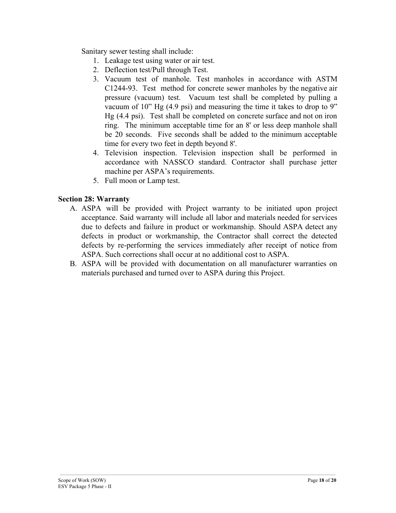Sanitary sewer testing shall include:

- 1. Leakage test using water or air test.
- 2. Deflection test/Pull through Test.
- 3. Vacuum test of manhole. Test manholes in accordance with ASTM C1244-93. Test method for concrete sewer manholes by the negative air pressure (vacuum) test. Vacuum test shall be completed by pulling a vacuum of 10" Hg (4.9 psi) and measuring the time it takes to drop to 9" Hg (4.4 psi). Test shall be completed on concrete surface and not on iron ring. The minimum acceptable time for an 8' or less deep manhole shall be 20 seconds. Five seconds shall be added to the minimum acceptable time for every two feet in depth beyond 8'.
- 4. Television inspection. Television inspection shall be performed in accordance with NASSCO standard. Contractor shall purchase jetter machine per ASPA's requirements.
- 5. Full moon or Lamp test.

#### **Section 28: Warranty**

- A. ASPA will be provided with Project warranty to be initiated upon project acceptance. Said warranty will include all labor and materials needed for services due to defects and failure in product or workmanship. Should ASPA detect any defects in product or workmanship, the Contractor shall correct the detected defects by re-performing the services immediately after receipt of notice from ASPA. Such corrections shall occur at no additional cost to ASPA.
- B. ASPA will be provided with documentation on all manufacturer warranties on materials purchased and turned over to ASPA during this Project.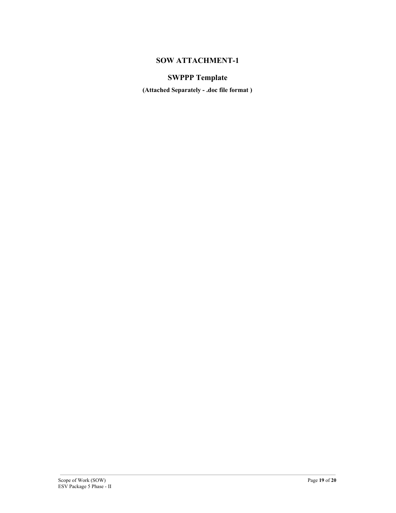#### **SOW ATTACHMENT-1**

#### **SWPPP Template**

**(Attached Separately - .doc file format )**